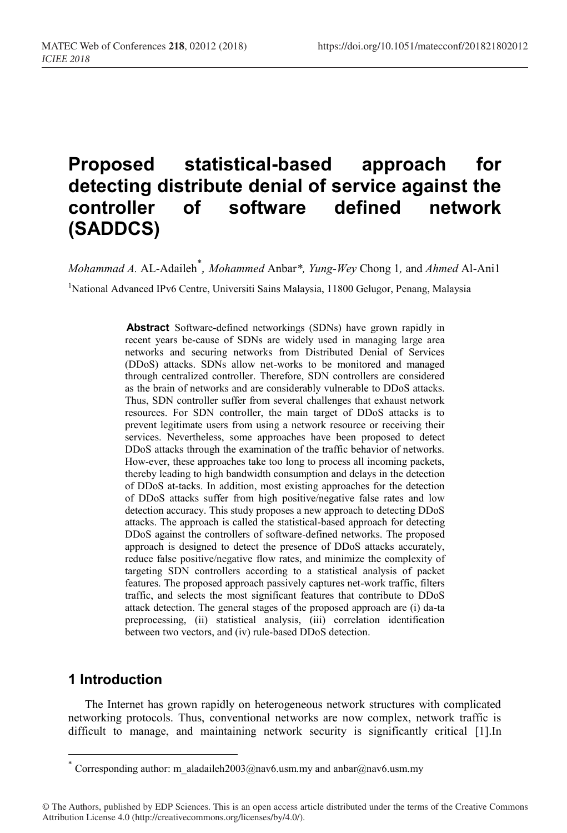# **Proposed statistical-based approach for detecting distribute denial of service against the controller of software defined network (SADDCS)**

*Mohammad A.* AL-Adaileh\* *, Mohammed* Anbar*\*, Yung-Wey* Chong 1*,* and *Ahmed* Al-Ani1

<sup>1</sup>National Advanced IPv6 Centre, Universiti Sains Malaysia, 11800 Gelugor, Penang, Malaysia

**Abstract** Software-defined networkings (SDNs) have grown rapidly in recent years be-cause of SDNs are widely used in managing large area networks and securing networks from Distributed Denial of Services (DDoS) attacks. SDNs allow net-works to be monitored and managed through centralized controller. Therefore, SDN controllers are considered as the brain of networks and are considerably vulnerable to DDoS attacks. Thus, SDN controller suffer from several challenges that exhaust network resources. For SDN controller, the main target of DDoS attacks is to prevent legitimate users from using a network resource or receiving their services. Nevertheless, some approaches have been proposed to detect DDoS attacks through the examination of the traffic behavior of networks. How-ever, these approaches take too long to process all incoming packets, thereby leading to high bandwidth consumption and delays in the detection of DDoS at-tacks. In addition, most existing approaches for the detection of DDoS attacks suffer from high positive/negative false rates and low detection accuracy. This study proposes a new approach to detecting DDoS attacks. The approach is called the statistical-based approach for detecting DDoS against the controllers of software-defined networks. The proposed approach is designed to detect the presence of DDoS attacks accurately, reduce false positive/negative flow rates, and minimize the complexity of targeting SDN controllers according to a statistical analysis of packet features. The proposed approach passively captures net-work traffic, filters traffic, and selects the most significant features that contribute to DDoS attack detection. The general stages of the proposed approach are (i) da-ta preprocessing, (ii) statistical analysis, (iii) correlation identification between two vectors, and (iv) rule-based DDoS detection.

# **1 Introduction**

The Internet has grown rapidly on heterogeneous network structures with complicated networking protocols. Thus, conventional networks are now complex, network traffic is difficult to manage, and maintaining network security is significantly critical [1].In

© The Authors, published by EDP Sciences. This is an open access article distributed under the terms of the Creative Commons Attribution License 4.0 (http://creativecommons.org/licenses/by/4.0/).

<sup>\*</sup> Corresponding author: m\_aladaileh2003@nav6.usm.my and anbar@nav6.usm.my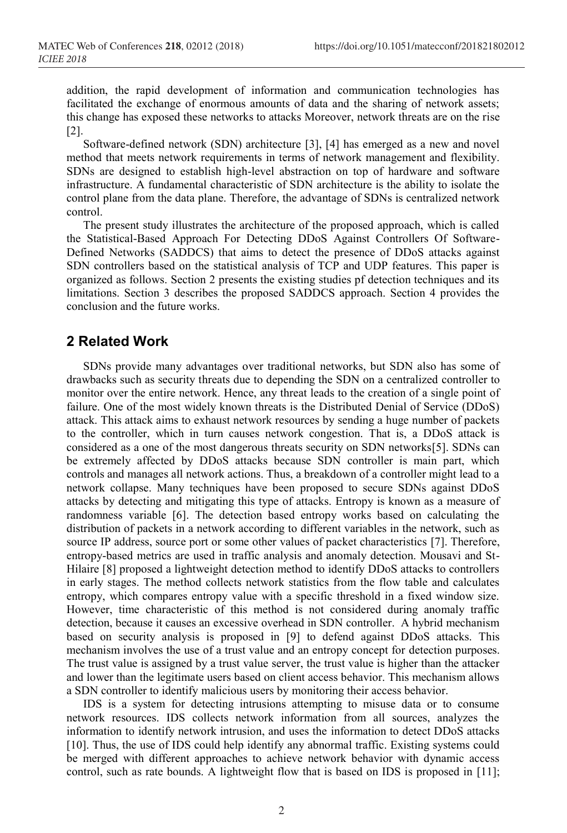addition, the rapid development of information and communication technologies has facilitated the exchange of enormous amounts of data and the sharing of network assets; this change has exposed these networks to attacks Moreover, network threats are on the rise [2].

Software-defined network (SDN) architecture [3], [4] has emerged as a new and novel method that meets network requirements in terms of network management and flexibility. SDNs are designed to establish high-level abstraction on top of hardware and software infrastructure. A fundamental characteristic of SDN architecture is the ability to isolate the control plane from the data plane. Therefore, the advantage of SDNs is centralized network control.

The present study illustrates the architecture of the proposed approach, which is called the Statistical-Based Approach For Detecting DDoS Against Controllers Of Software-Defined Networks (SADDCS) that aims to detect the presence of DDoS attacks against SDN controllers based on the statistical analysis of TCP and UDP features. This paper is organized as follows. Section 2 presents the existing studies pf detection techniques and its limitations. Section 3 describes the proposed SADDCS approach. Section 4 provides the conclusion and the future works.

# **2 Related Work**

SDNs provide many advantages over traditional networks, but SDN also has some of drawbacks such as security threats due to depending the SDN on a centralized controller to monitor over the entire network. Hence, any threat leads to the creation of a single point of failure. One of the most widely known threats is the Distributed Denial of Service (DDoS) attack. This attack aims to exhaust network resources by sending a huge number of packets to the controller, which in turn causes network congestion. That is, a DDoS attack is considered as a one of the most dangerous threats security on SDN networks[5]. SDNs can be extremely affected by DDoS attacks because SDN controller is main part, which controls and manages all network actions. Thus, a breakdown of a controller might lead to a network collapse. Many techniques have been proposed to secure SDNs against DDoS attacks by detecting and mitigating this type of attacks. Entropy is known as a measure of randomness variable [6]. The detection based entropy works based on calculating the distribution of packets in a network according to different variables in the network, such as source IP address, source port or some other values of packet characteristics [7]. Therefore, entropy-based metrics are used in traffic analysis and anomaly detection. Mousavi and St-Hilaire [8] proposed a lightweight detection method to identify DDoS attacks to controllers in early stages. The method collects network statistics from the flow table and calculates entropy, which compares entropy value with a specific threshold in a fixed window size. However, time characteristic of this method is not considered during anomaly traffic detection, because it causes an excessive overhead in SDN controller. A hybrid mechanism based on security analysis is proposed in [9] to defend against DDoS attacks. This mechanism involves the use of a trust value and an entropy concept for detection purposes. The trust value is assigned by a trust value server, the trust value is higher than the attacker and lower than the legitimate users based on client access behavior. This mechanism allows a SDN controller to identify malicious users by monitoring their access behavior.

IDS is a system for detecting intrusions attempting to misuse data or to consume network resources. IDS collects network information from all sources, analyzes the information to identify network intrusion, and uses the information to detect DDoS attacks [10]. Thus, the use of IDS could help identify any abnormal traffic. Existing systems could be merged with different approaches to achieve network behavior with dynamic access control, such as rate bounds. A lightweight flow that is based on IDS is proposed in [11];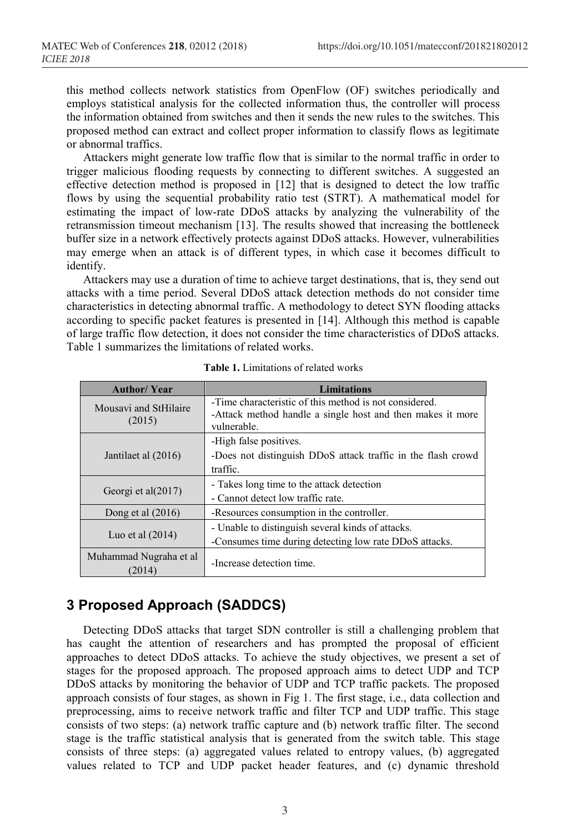this method collects network statistics from OpenFlow (OF) switches periodically and employs statistical analysis for the collected information thus, the controller will process the information obtained from switches and then it sends the new rules to the switches. This proposed method can extract and collect proper information to classify flows as legitimate or abnormal traffics.

Attackers might generate low traffic flow that is similar to the normal traffic in order to trigger malicious flooding requests by connecting to different switches. A suggested an effective detection method is proposed in [12] that is designed to detect the low traffic flows by using the sequential probability ratio test (STRT). A mathematical model for estimating the impact of low-rate DDoS attacks by analyzing the vulnerability of the retransmission timeout mechanism [13]. The results showed that increasing the bottleneck buffer size in a network effectively protects against DDoS attacks. However, vulnerabilities may emerge when an attack is of different types, in which case it becomes difficult to identify.

Attackers may use a duration of time to achieve target destinations, that is, they send out attacks with a time period. Several DDoS attack detection methods do not consider time characteristics in detecting abnormal traffic. A methodology to detect SYN flooding attacks according to specific packet features is presented in [14]. Although this method is capable of large traffic flow detection, it does not consider the time characteristics of DDoS attacks. Table 1 summarizes the limitations of related works.

| <b>Author/ Year</b>              | <b>Limitations</b>                                                                                                                  |
|----------------------------------|-------------------------------------------------------------------------------------------------------------------------------------|
| Mousavi and StHilaire<br>(2015)  | -Time characteristic of this method is not considered.<br>-Attack method handle a single host and then makes it more<br>vulnerable. |
| Jantilaet al (2016)              | -High false positives.<br>-Does not distinguish DDoS attack traffic in the flash crowd<br>traffic.                                  |
| Georgi et al(2017)               | - Takes long time to the attack detection<br>- Cannot detect low traffic rate.                                                      |
| Dong et al $(2016)$              | -Resources consumption in the controller.                                                                                           |
| Luo et al $(2014)$               | - Unable to distinguish several kinds of attacks.<br>-Consumes time during detecting low rate DDoS attacks.                         |
| Muhammad Nugraha et al<br>(2014) | -Increase detection time.                                                                                                           |

**Table 1.** Limitations of related works

# **3 Proposed Approach (SADDCS)**

Detecting DDoS attacks that target SDN controller is still a challenging problem that has caught the attention of researchers and has prompted the proposal of efficient approaches to detect DDoS attacks. To achieve the study objectives, we present a set of stages for the proposed approach. The proposed approach aims to detect UDP and TCP DDoS attacks by monitoring the behavior of UDP and TCP traffic packets. The proposed approach consists of four stages, as shown in Fig 1. The first stage, i.e., data collection and preprocessing, aims to receive network traffic and filter TCP and UDP traffic. This stage consists of two steps: (a) network traffic capture and (b) network traffic filter. The second stage is the traffic statistical analysis that is generated from the switch table. This stage consists of three steps: (a) aggregated values related to entropy values, (b) aggregated values related to TCP and UDP packet header features, and (c) dynamic threshold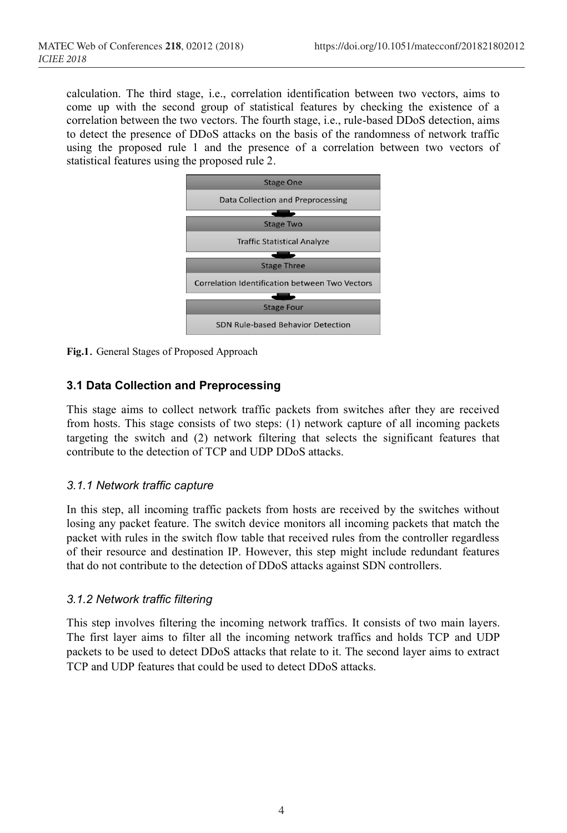calculation. The third stage, i.e., correlation identification between two vectors, aims to come up with the second group of statistical features by checking the existence of a correlation between the two vectors. The fourth stage, i.e., rule-based DDoS detection, aims to detect the presence of DDoS attacks on the basis of the randomness of network traffic using the proposed rule 1 and the presence of a correlation between two vectors of statistical features using the proposed rule 2.



**Fig.1**. General Stages of Proposed Approach

# **3.1 Data Collection and Preprocessing**

This stage aims to collect network traffic packets from switches after they are received from hosts. This stage consists of two steps: (1) network capture of all incoming packets targeting the switch and (2) network filtering that selects the significant features that contribute to the detection of TCP and UDP DDoS attacks.

## *3.1.1 Network traffic capture*

In this step, all incoming traffic packets from hosts are received by the switches without losing any packet feature. The switch device monitors all incoming packets that match the packet with rules in the switch flow table that received rules from the controller regardless of their resource and destination IP. However, this step might include redundant features that do not contribute to the detection of DDoS attacks against SDN controllers.

## *3.1.2 Network traffic filtering*

This step involves filtering the incoming network traffics. It consists of two main layers. The first layer aims to filter all the incoming network traffics and holds TCP and UDP packets to be used to detect DDoS attacks that relate to it. The second layer aims to extract TCP and UDP features that could be used to detect DDoS attacks.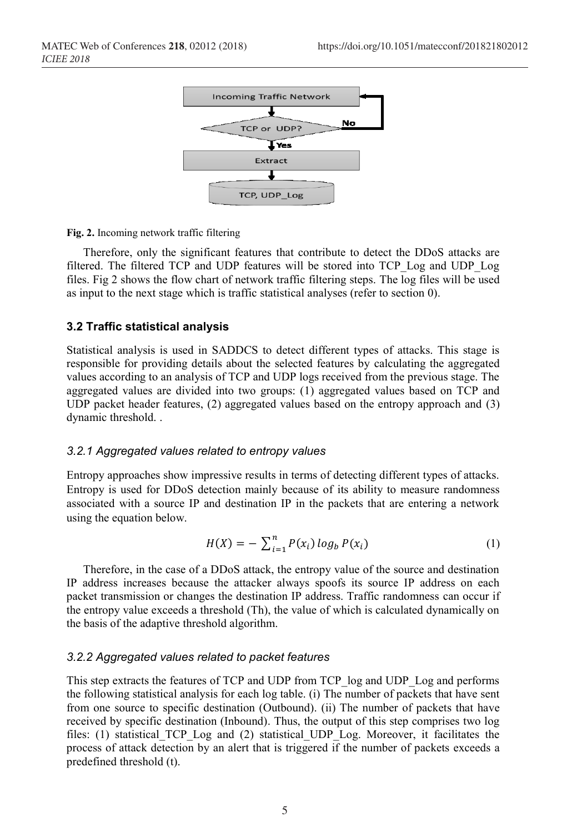

**Fig. 2.** Incoming network traffic filtering

Therefore, only the significant features that contribute to detect the DDoS attacks are filtered. The filtered TCP and UDP features will be stored into TCP\_Log and UDP\_Log files. Fig 2 shows the flow chart of network traffic filtering steps. The log files will be used as input to the next stage which is traffic statistical analyses (refer to section 0).

#### **3.2 Traffic statistical analysis**

Statistical analysis is used in SADDCS to detect different types of attacks. This stage is responsible for providing details about the selected features by calculating the aggregated values according to an analysis of TCP and UDP logs received from the previous stage. The aggregated values are divided into two groups: (1) aggregated values based on TCP and UDP packet header features, (2) aggregated values based on the entropy approach and (3) dynamic threshold. .

#### *3.2.1 Aggregated values related to entropy values*

Entropy approaches show impressive results in terms of detecting different types of attacks. Entropy is used for DDoS detection mainly because of its ability to measure randomness associated with a source IP and destination IP in the packets that are entering a network using the equation below.

$$
H(X) = -\sum_{i=1}^{n} P(x_i) \log_b P(x_i)
$$
 (1)

Therefore, in the case of a DDoS attack, the entropy value of the source and destination IP address increases because the attacker always spoofs its source IP address on each packet transmission or changes the destination IP address. Traffic randomness can occur if the entropy value exceeds a threshold (Th), the value of which is calculated dynamically on the basis of the adaptive threshold algorithm.

#### *3.2.2 Aggregated values related to packet features*

This step extracts the features of TCP and UDP from TCP\_log and UDP\_Log and performs the following statistical analysis for each log table. (i) The number of packets that have sent from one source to specific destination (Outbound). (ii) The number of packets that have received by specific destination (Inbound). Thus, the output of this step comprises two log files: (1) statistical\_TCP\_Log and (2) statistical\_UDP\_Log. Moreover, it facilitates the process of attack detection by an alert that is triggered if the number of packets exceeds a predefined threshold (t).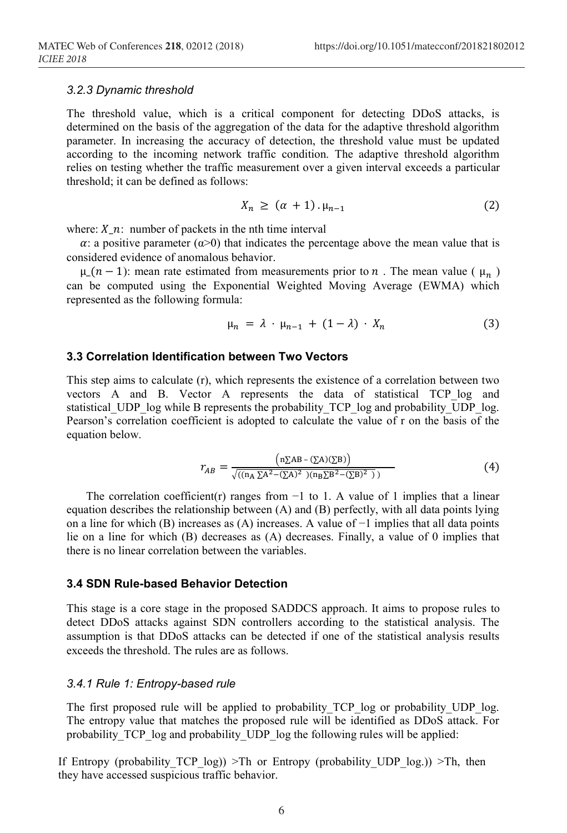#### *3.2.3 Dynamic threshold*

The threshold value, which is a critical component for detecting DDoS attacks, is determined on the basis of the aggregation of the data for the adaptive threshold algorithm parameter. In increasing the accuracy of detection, the threshold value must be updated according to the incoming network traffic condition. The adaptive threshold algorithm relies on testing whether the traffic measurement over a given interval exceeds a particular threshold; it can be defined as follows:

$$
X_n \geq (\alpha + 1) \cdot \mu_{n-1} \tag{2}
$$

where:  $X_n$ : number of packets in the nth time interval

 $\alpha$ : a positive parameter ( $\alpha$ >0) that indicates the percentage above the mean value that is considered evidence of anomalous behavior.

 $\mu$  (n - 1): mean rate estimated from measurements prior to n. The mean value ( $\mu$ <sub>n</sub>) can be computed using the Exponential Weighted Moving Average (EWMA) which represented as the following formula:

$$
\mu_n = \lambda \cdot \mu_{n-1} + (1 - \lambda) \cdot X_n \tag{3}
$$

#### **3.3 Correlation Identification between Two Vectors**

This step aims to calculate (r), which represents the existence of a correlation between two vectors A and B. Vector A represents the data of statistical TCP\_log and statistical UDP  $log$  while B represents the probability TCP  $log$  and probability  $\overline{UDP}$  log. Pearson's correlation coefficient is adopted to calculate the value of r on the basis of the equation below.

$$
r_{AB} = \frac{\left(\mathbf{n} \Sigma \mathbf{A} \mathbf{B} - (\Sigma \mathbf{A})(\Sigma \mathbf{B})\right)}{\sqrt{\left((\mathbf{n} \Sigma \mathbf{A}^2 - (\Sigma \mathbf{A})^2)(\mathbf{n} \Sigma \mathbf{B}^2 - (\Sigma \mathbf{B})^2)\right)}}\tag{4}
$$

The correlation coefficient(r) ranges from  $-1$  to 1. A value of 1 implies that a linear equation describes the relationship between (A) and (B) perfectly, with all data points lying on a line for which (B) increases as (A) increases. A value of −1 implies that all data points lie on a line for which (B) decreases as (A) decreases. Finally, a value of 0 implies that there is no linear correlation between the variables.

#### **3.4 SDN Rule-based Behavior Detection**

This stage is a core stage in the proposed SADDCS approach. It aims to propose rules to detect DDoS attacks against SDN controllers according to the statistical analysis. The assumption is that DDoS attacks can be detected if one of the statistical analysis results exceeds the threshold. The rules are as follows.

#### *3.4.1 Rule 1: Entropy-based rule*

The first proposed rule will be applied to probability\_TCP\_log or probability\_UDP\_log. The entropy value that matches the proposed rule will be identified as DDoS attack. For probability TCP log and probability UDP log the following rules will be applied:

If Entropy (probability TCP log)) >Th or Entropy (probability UDP log.)) >Th, then they have accessed suspicious traffic behavior.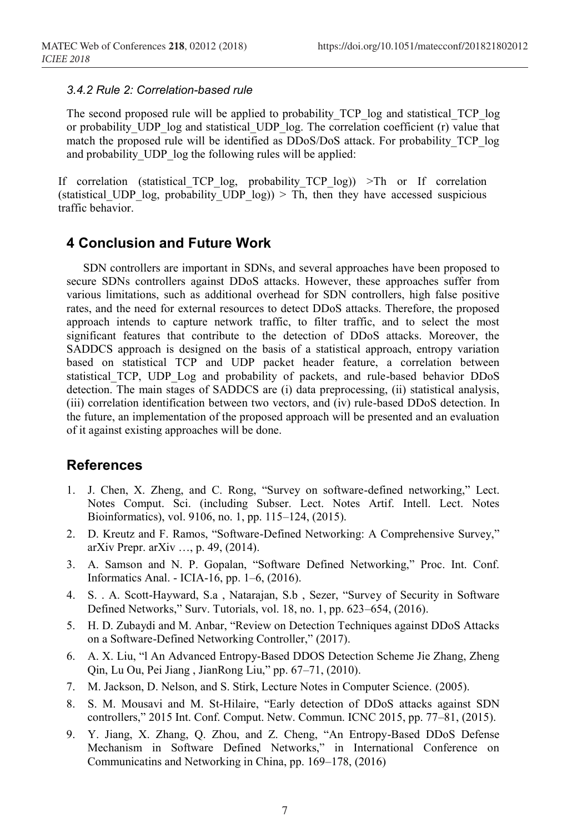#### *3.4.2 Rule 2: Correlation-based rule*

The second proposed rule will be applied to probability TCP log and statistical TCP log or probability\_UDP\_log and statistical\_UDP\_log. The correlation coefficient  $(r)$  value that match the proposed rule will be identified as DDoS/DoS attack. For probability TCP log and probability UDP log the following rules will be applied:

If correlation (statistical TCP log, probability TCP log))  $\geq Th$  or If correlation (statistical UDP log, probability UDP log)) > Th, then they have accessed suspicious traffic behavior.

# **4 Conclusion and Future Work**

SDN controllers are important in SDNs, and several approaches have been proposed to secure SDNs controllers against DDoS attacks. However, these approaches suffer from various limitations, such as additional overhead for SDN controllers, high false positive rates, and the need for external resources to detect DDoS attacks. Therefore, the proposed approach intends to capture network traffic, to filter traffic, and to select the most significant features that contribute to the detection of DDoS attacks. Moreover, the SADDCS approach is designed on the basis of a statistical approach, entropy variation based on statistical TCP and UDP packet header feature, a correlation between statistical TCP, UDP Log and probability of packets, and rule-based behavior DDoS detection. The main stages of SADDCS are (i) data preprocessing, (ii) statistical analysis, (iii) correlation identification between two vectors, and (iv) rule-based DDoS detection. In the future, an implementation of the proposed approach will be presented and an evaluation of it against existing approaches will be done.

# **References**

- 1. J. Chen, X. Zheng, and C. Rong, "Survey on software-defined networking," Lect. Notes Comput. Sci. (including Subser. Lect. Notes Artif. Intell. Lect. Notes Bioinformatics), vol. 9106, no. 1, pp. 115–124, (2015).
- 2. D. Kreutz and F. Ramos, "Software-Defined Networking: A Comprehensive Survey," arXiv Prepr. arXiv …, p. 49, (2014).
- 3. A. Samson and N. P. Gopalan, "Software Defined Networking," Proc. Int. Conf. Informatics Anal. - ICIA-16, pp. 1–6, (2016).
- 4. S. . A. Scott-Hayward, S.a , Natarajan, S.b , Sezer, "Survey of Security in Software Defined Networks," Surv. Tutorials, vol. 18, no. 1, pp. 623–654, (2016).
- 5. H. D. Zubaydi and M. Anbar, "Review on Detection Techniques against DDoS Attacks on a Software-Defined Networking Controller," (2017).
- 6. A. X. Liu, "l An Advanced Entropy-Based DDOS Detection Scheme Jie Zhang, Zheng Qin, Lu Ou, Pei Jiang , JianRong Liu," pp. 67–71, (2010).
- 7. M. Jackson, D. Nelson, and S. Stirk, Lecture Notes in Computer Science. (2005).
- 8. S. M. Mousavi and M. St-Hilaire, "Early detection of DDoS attacks against SDN controllers," 2015 Int. Conf. Comput. Netw. Commun. ICNC 2015, pp. 77–81, (2015).
- 9. Y. Jiang, X. Zhang, Q. Zhou, and Z. Cheng, "An Entropy-Based DDoS Defense Mechanism in Software Defined Networks," in International Conference on Communicatins and Networking in China, pp. 169–178, (2016)